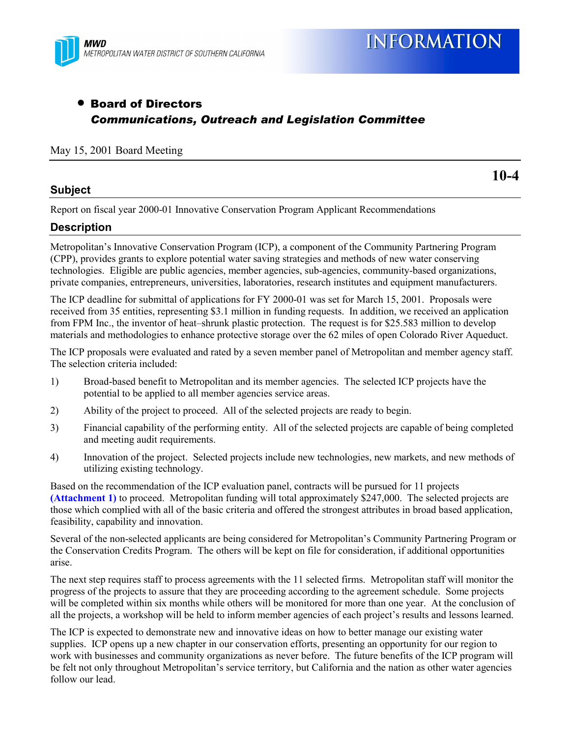

# • Board of Directors *Communications, Outreach and Legislation Committee*

#### May 15, 2001 Board Meeting

## **Subject**

Report on fiscal year 2000-01 Innovative Conservation Program Applicant Recommendations

## **Description**

Metropolitanís Innovative Conservation Program (ICP), a component of the Community Partnering Program (CPP), provides grants to explore potential water saving strategies and methods of new water conserving technologies. Eligible are public agencies, member agencies, sub-agencies, community-based organizations, private companies, entrepreneurs, universities, laboratories, research institutes and equipment manufacturers.

The ICP deadline for submittal of applications for FY 2000-01 was set for March 15, 2001. Proposals were received from 35 entities, representing \$3.1 million in funding requests. In addition, we received an application from FPM Inc., the inventor of heat-shrunk plastic protection. The request is for \$25.583 million to develop materials and methodologies to enhance protective storage over the 62 miles of open Colorado River Aqueduct.

The ICP proposals were evaluated and rated by a seven member panel of Metropolitan and member agency staff. The selection criteria included:

- 1) Broad-based benefit to Metropolitan and its member agencies. The selected ICP projects have the potential to be applied to all member agencies service areas.
- 2) Ability of the project to proceed. All of the selected projects are ready to begin.
- 3) Financial capability of the performing entity. All of the selected projects are capable of being completed and meeting audit requirements.
- 4) Innovation of the project. Selected projects include new technologies, new markets, and new methods of utilizing existing technology.

Based on the recommendation of the ICP evaluation panel, contracts will be pursued for 11 projects **(Attachment 1)** to proceed. Metropolitan funding will total approximately \$247,000. The selected projects are those which complied with all of the basic criteria and offered the strongest attributes in broad based application, feasibility, capability and innovation.

Several of the non-selected applicants are being considered for Metropolitan's Community Partnering Program or the Conservation Credits Program. The others will be kept on file for consideration, if additional opportunities arise.

The next step requires staff to process agreements with the 11 selected firms. Metropolitan staff will monitor the progress of the projects to assure that they are proceeding according to the agreement schedule. Some projects will be completed within six months while others will be monitored for more than one year. At the conclusion of all the projects, a workshop will be held to inform member agencies of each project's results and lessons learned.

The ICP is expected to demonstrate new and innovative ideas on how to better manage our existing water supplies. ICP opens up a new chapter in our conservation efforts, presenting an opportunity for our region to work with businesses and community organizations as never before. The future benefits of the ICP program will be felt not only throughout Metropolitan's service territory, but California and the nation as other water agencies follow our lead.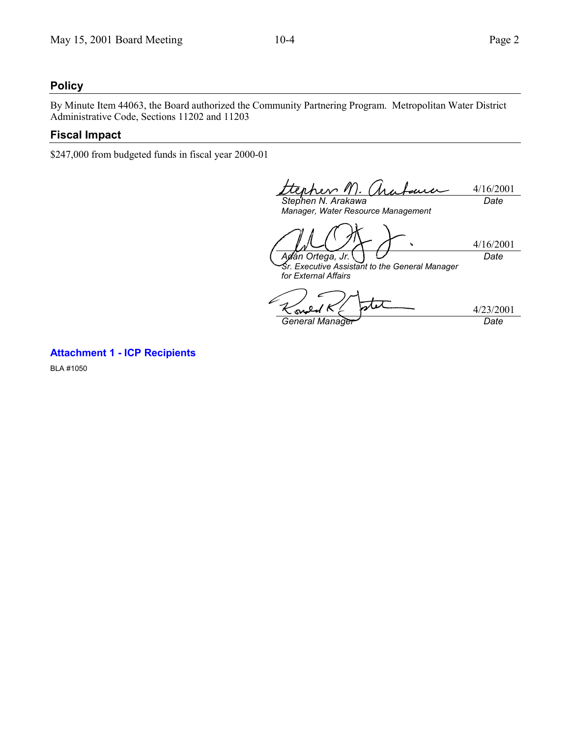## **Policy**

By Minute Item 44063, the Board authorized the Community Partnering Program. Metropolitan Water District Administrative Code, Sections 11202 and 11203

#### **Fiscal Impact**

\$247,000 from budgeted funds in fiscal year 2000-01

1ra 4/16/2001 rev 1 mu *Date*

*Stephen N. Arakawa Manager, Water Resource Management*

4/16/2001 *Ad·n Ortega, Jr. Date*

*Sr. Executive Assistant to the General Manager for External Affairs*

4/23/2001 o S General Manager<sup>y</sup> Date

**Attachment 1 - ICP Recipients**

BLA #1050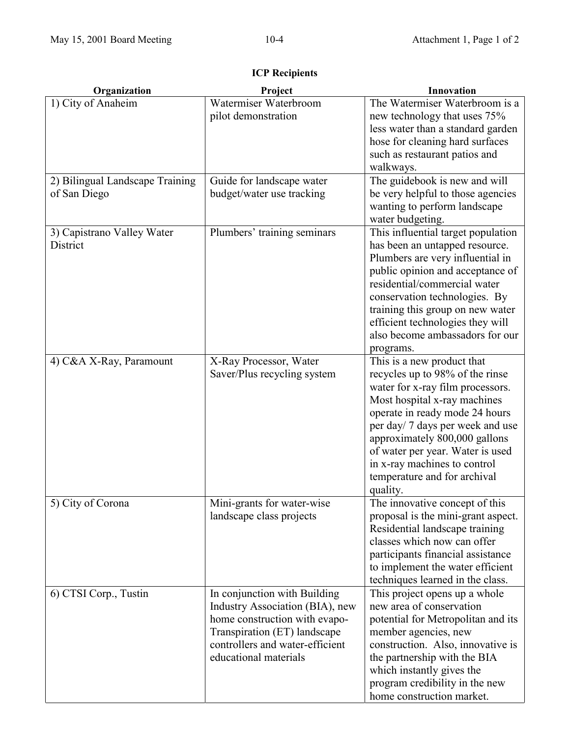| Organization                    | Project                                                  | Innovation                                                           |
|---------------------------------|----------------------------------------------------------|----------------------------------------------------------------------|
| 1) City of Anaheim              | Watermiser Waterbroom                                    | The Watermiser Waterbroom is a                                       |
|                                 | pilot demonstration                                      | new technology that uses 75%                                         |
|                                 |                                                          | less water than a standard garden                                    |
|                                 |                                                          | hose for cleaning hard surfaces                                      |
|                                 |                                                          | such as restaurant patios and                                        |
|                                 |                                                          | walkways.                                                            |
| 2) Bilingual Landscape Training | Guide for landscape water                                | The guidebook is new and will                                        |
| of San Diego                    | budget/water use tracking                                | be very helpful to those agencies                                    |
|                                 |                                                          | wanting to perform landscape                                         |
|                                 |                                                          | water budgeting.                                                     |
| 3) Capistrano Valley Water      | Plumbers' training seminars                              | This influential target population                                   |
| District                        |                                                          | has been an untapped resource.                                       |
|                                 |                                                          | Plumbers are very influential in                                     |
|                                 |                                                          | public opinion and acceptance of                                     |
|                                 |                                                          | residential/commercial water                                         |
|                                 |                                                          | conservation technologies. By                                        |
|                                 |                                                          | training this group on new water<br>efficient technologies they will |
|                                 |                                                          | also become ambassadors for our                                      |
|                                 |                                                          |                                                                      |
| 4) C&A X-Ray, Paramount         | X-Ray Processor, Water                                   | programs.<br>This is a new product that                              |
|                                 | Saver/Plus recycling system                              | recycles up to 98% of the rinse                                      |
|                                 |                                                          | water for x-ray film processors.                                     |
|                                 |                                                          | Most hospital x-ray machines                                         |
|                                 |                                                          | operate in ready mode 24 hours                                       |
|                                 |                                                          | per day/ 7 days per week and use                                     |
|                                 |                                                          | approximately 800,000 gallons                                        |
|                                 |                                                          | of water per year. Water is used                                     |
|                                 |                                                          | in x-ray machines to control                                         |
|                                 |                                                          | temperature and for archival                                         |
|                                 |                                                          | quality.                                                             |
| 5) City of Corona               | Mini-grants for water-wise                               | The innovative concept of this                                       |
|                                 | landscape class projects                                 | proposal is the mini-grant aspect.                                   |
|                                 |                                                          | Residential landscape training                                       |
|                                 |                                                          | classes which now can offer                                          |
|                                 |                                                          | participants financial assistance                                    |
|                                 |                                                          | to implement the water efficient                                     |
|                                 |                                                          | techniques learned in the class.                                     |
| 6) CTSI Corp., Tustin           | In conjunction with Building                             | This project opens up a whole                                        |
|                                 | Industry Association (BIA), new                          | new area of conservation                                             |
|                                 | home construction with evapo-                            | potential for Metropolitan and its                                   |
|                                 | Transpiration (ET) landscape                             | member agencies, new                                                 |
|                                 | controllers and water-efficient<br>educational materials | construction. Also, innovative is                                    |
|                                 |                                                          | the partnership with the BIA<br>which instantly gives the            |
|                                 |                                                          | program credibility in the new                                       |
|                                 |                                                          | home construction market.                                            |
|                                 |                                                          |                                                                      |

**ICP Recipients**